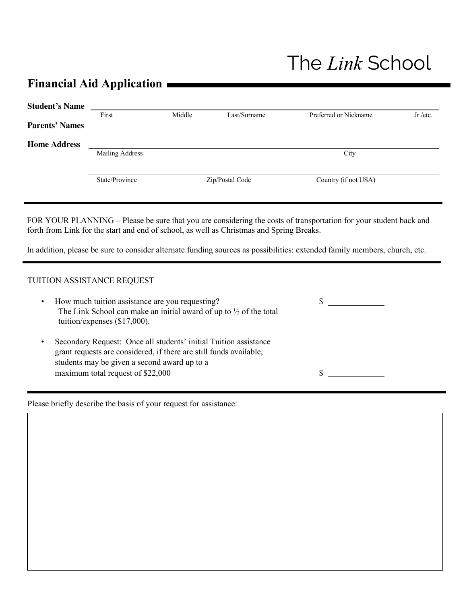## The *Link* School

## **Financial Aid Application**

| <b>Student's Name</b> |                        |        |                 |                       |            |
|-----------------------|------------------------|--------|-----------------|-----------------------|------------|
|                       | First                  | Middle | Last/Surname    | Preferred or Nickname | $Jr$ /etc. |
| <b>Parents' Names</b> |                        |        |                 |                       |            |
| <b>Home Address</b>   |                        |        |                 |                       |            |
|                       | <b>Mailing Address</b> |        |                 | City                  |            |
|                       |                        |        |                 |                       |            |
|                       | State/Province         |        | Zip/Postal Code | Country (if not USA)  |            |
|                       |                        |        |                 |                       |            |

FOR YOUR PLANNING – Please be sure that you are considering the costs of transportation for your student back and forth from Link for the start and end of school, as well as Christmas and Spring Breaks.

In addition, please be sure to consider alternate funding sources as possibilities: extended family members, church, etc.

## TUITION ASSISTANCE REQUEST

| $\bullet$ | How much tuition assistance are you requesting?<br>The Link School can make an initial award of up to $\frac{1}{2}$ of the total<br>tuition/expenses $(\$17,000)$ .                                                         |  |
|-----------|-----------------------------------------------------------------------------------------------------------------------------------------------------------------------------------------------------------------------------|--|
| $\bullet$ | Secondary Request: Once all students' initial Tuition assistance<br>grant requests are considered, if there are still funds available,<br>students may be given a second award up to a<br>maximum total request of \$22,000 |  |

Please briefly describe the basis of your request for assistance: